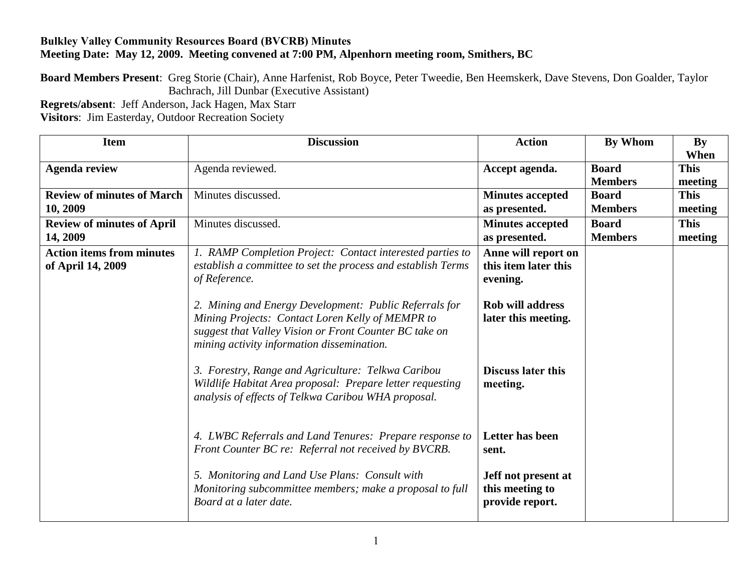## **Bulkley Valley Community Resources Board (BVCRB) Minutes Meeting Date: May 12, 2009. Meeting convened at 7:00 PM, Alpenhorn meeting room, Smithers, BC**

**Board Members Present**: Greg Storie (Chair), Anne Harfenist, Rob Boyce, Peter Tweedie, Ben Heemskerk, Dave Stevens, Don Goalder, Taylor Bachrach, Jill Dunbar (Executive Assistant)

**Regrets/absent**: Jeff Anderson, Jack Hagen, Max Starr **Visitors**: Jim Easterday, Outdoor Recreation Society

| <b>Item</b>                                           | <b>Discussion</b>                                                                                                                                                                                                  | <b>Action</b>                                             | By Whom        | <b>By</b>   |
|-------------------------------------------------------|--------------------------------------------------------------------------------------------------------------------------------------------------------------------------------------------------------------------|-----------------------------------------------------------|----------------|-------------|
|                                                       |                                                                                                                                                                                                                    |                                                           |                | When        |
| <b>Agenda review</b>                                  | Agenda reviewed.                                                                                                                                                                                                   | Accept agenda.                                            | <b>Board</b>   | <b>This</b> |
|                                                       |                                                                                                                                                                                                                    |                                                           | <b>Members</b> | meeting     |
| <b>Review of minutes of March</b>                     | Minutes discussed.                                                                                                                                                                                                 | <b>Minutes accepted</b>                                   | <b>Board</b>   | <b>This</b> |
| 10, 2009                                              |                                                                                                                                                                                                                    | as presented.                                             | <b>Members</b> | meeting     |
| <b>Review of minutes of April</b>                     | Minutes discussed.                                                                                                                                                                                                 | <b>Minutes accepted</b>                                   | <b>Board</b>   | <b>This</b> |
| 14, 2009                                              |                                                                                                                                                                                                                    | as presented.                                             | <b>Members</b> | meeting     |
| <b>Action items from minutes</b><br>of April 14, 2009 | 1. RAMP Completion Project: Contact interested parties to<br>establish a committee to set the process and establish Terms<br>of Reference.                                                                         | Anne will report on<br>this item later this<br>evening.   |                |             |
|                                                       | 2. Mining and Energy Development: Public Referrals for<br>Mining Projects: Contact Loren Kelly of MEMPR to<br>suggest that Valley Vision or Front Counter BC take on<br>mining activity information dissemination. | <b>Rob will address</b><br>later this meeting.            |                |             |
|                                                       | 3. Forestry, Range and Agriculture: Telkwa Caribou<br>Wildlife Habitat Area proposal: Prepare letter requesting<br>analysis of effects of Telkwa Caribou WHA proposal.                                             | <b>Discuss later this</b><br>meeting.                     |                |             |
|                                                       | 4. LWBC Referrals and Land Tenures: Prepare response to<br>Front Counter BC re: Referral not received by BVCRB.                                                                                                    | <b>Letter has been</b><br>sent.                           |                |             |
|                                                       | 5. Monitoring and Land Use Plans: Consult with<br>Monitoring subcommittee members; make a proposal to full<br>Board at a later date.                                                                               | Jeff not present at<br>this meeting to<br>provide report. |                |             |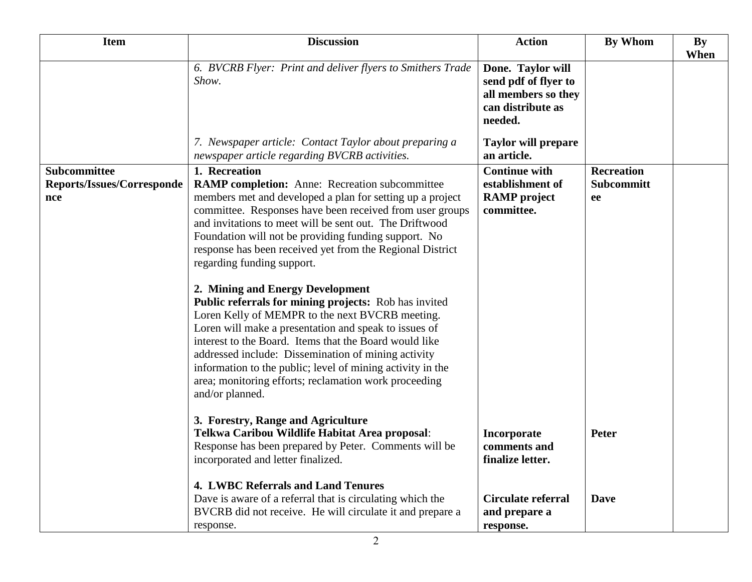| <b>Item</b>                                       | <b>Discussion</b>                                                                                                                                                                                                                                                                                                                                                                                                                                                                                                                                                                                                                                                                                                                                                                                                                                                                 | <b>Action</b>                                                                                    | By Whom                                      | <b>By</b><br>When |
|---------------------------------------------------|-----------------------------------------------------------------------------------------------------------------------------------------------------------------------------------------------------------------------------------------------------------------------------------------------------------------------------------------------------------------------------------------------------------------------------------------------------------------------------------------------------------------------------------------------------------------------------------------------------------------------------------------------------------------------------------------------------------------------------------------------------------------------------------------------------------------------------------------------------------------------------------|--------------------------------------------------------------------------------------------------|----------------------------------------------|-------------------|
|                                                   | 6. BVCRB Flyer: Print and deliver flyers to Smithers Trade<br>Show.                                                                                                                                                                                                                                                                                                                                                                                                                                                                                                                                                                                                                                                                                                                                                                                                               | Done. Taylor will<br>send pdf of flyer to<br>all members so they<br>can distribute as<br>needed. |                                              |                   |
|                                                   | 7. Newspaper article: Contact Taylor about preparing a<br>newspaper article regarding BVCRB activities.                                                                                                                                                                                                                                                                                                                                                                                                                                                                                                                                                                                                                                                                                                                                                                           | <b>Taylor will prepare</b><br>an article.                                                        |                                              |                   |
| Subcommittee<br>Reports/Issues/Corresponde<br>nce | 1. Recreation<br><b>RAMP completion:</b> Anne: Recreation subcommittee<br>members met and developed a plan for setting up a project<br>committee. Responses have been received from user groups<br>and invitations to meet will be sent out. The Driftwood<br>Foundation will not be providing funding support. No<br>response has been received yet from the Regional District<br>regarding funding support.<br>2. Mining and Energy Development<br>Public referrals for mining projects: Rob has invited<br>Loren Kelly of MEMPR to the next BVCRB meeting.<br>Loren will make a presentation and speak to issues of<br>interest to the Board. Items that the Board would like<br>addressed include: Dissemination of mining activity<br>information to the public; level of mining activity in the<br>area; monitoring efforts; reclamation work proceeding<br>and/or planned. | <b>Continue with</b><br>establishment of<br><b>RAMP</b> project<br>committee.                    | <b>Recreation</b><br><b>Subcommitt</b><br>ee |                   |
|                                                   | 3. Forestry, Range and Agriculture<br>Telkwa Caribou Wildlife Habitat Area proposal:<br>Response has been prepared by Peter. Comments will be<br>incorporated and letter finalized.                                                                                                                                                                                                                                                                                                                                                                                                                                                                                                                                                                                                                                                                                               | Incorporate<br>comments and<br>finalize letter.                                                  | <b>Peter</b>                                 |                   |
|                                                   | 4. LWBC Referrals and Land Tenures<br>Dave is aware of a referral that is circulating which the<br>BVCRB did not receive. He will circulate it and prepare a<br>response.                                                                                                                                                                                                                                                                                                                                                                                                                                                                                                                                                                                                                                                                                                         | <b>Circulate referral</b><br>and prepare a<br>response.                                          | <b>Dave</b>                                  |                   |